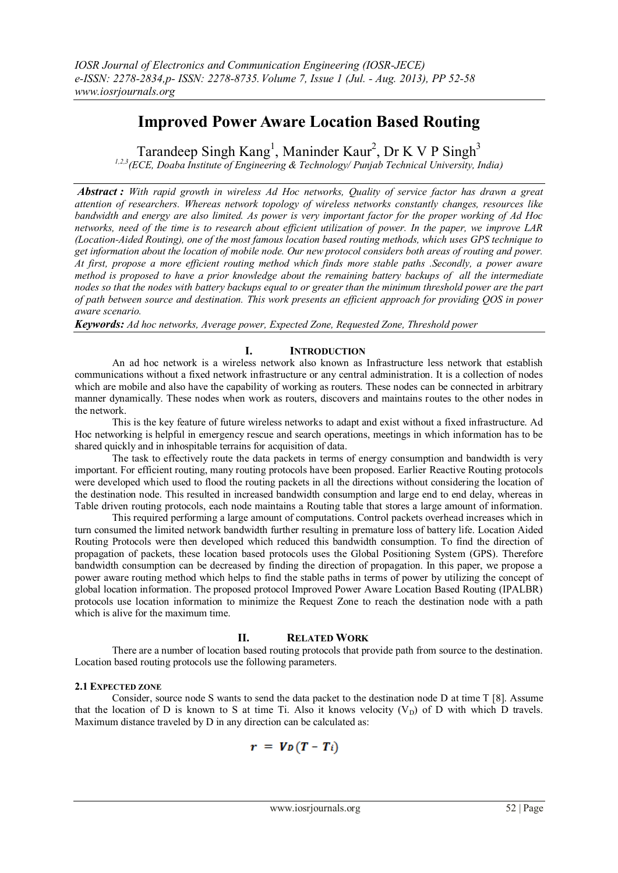# **Improved Power Aware Location Based Routing**

Tarandeep Singh  $\text{Kang}^1$ , Maninder  $\text{Kaur}^2$ , Dr K V P Singh<sup>3</sup>

*1,2,3(ECE, Doaba Institute of Engineering & Technology/ Punjab Technical University, India)*

*Abstract : With rapid growth in wireless Ad Hoc networks, Quality of service factor has drawn a great attention of researchers. Whereas network topology of wireless networks constantly changes, resources like bandwidth and energy are also limited. As power is very important factor for the proper working of Ad Hoc networks, need of the time is to research about efficient utilization of power. In the paper, we improve LAR (Location-Aided Routing), one of the most famous location based routing methods, which uses GPS technique to get information about the location of mobile node. Our new protocol considers both areas of routing and power. At first, propose a more efficient routing method which finds more stable paths .Secondly, a power aware method is proposed to have a prior knowledge about the remaining battery backups of all the intermediate nodes so that the nodes with battery backups equal to or greater than the minimum threshold power are the part of path between source and destination. This work presents an efficient approach for providing QOS in power aware scenario.*

*Keywords: Ad hoc networks, Average power, Expected Zone, Requested Zone, Threshold power*

# **I. INTRODUCTION**

An ad hoc network is a wireless network also known as Infrastructure less network that establish communications without a fixed network infrastructure or any central administration. It is a collection of nodes which are mobile and also have the capability of working as routers. These nodes can be connected in arbitrary manner dynamically. These nodes when work as routers, discovers and maintains routes to the other nodes in the network.

This is the key feature of future wireless networks to adapt and exist without a fixed infrastructure. Ad Hoc networking is helpful in emergency rescue and search operations, meetings in which information has to be shared quickly and in inhospitable terrains for acquisition of data.

The task to effectively route the data packets in terms of energy consumption and bandwidth is very important. For efficient routing, many routing protocols have been proposed. Earlier Reactive Routing protocols were developed which used to flood the routing packets in all the directions without considering the location of the destination node. This resulted in increased bandwidth consumption and large end to end delay, whereas in Table driven routing protocols, each node maintains a Routing table that stores a large amount of information.

This required performing a large amount of computations. Control packets overhead increases which in turn consumed the limited network bandwidth further resulting in premature loss of battery life. Location Aided Routing Protocols were then developed which reduced this bandwidth consumption. To find the direction of propagation of packets, these location based protocols uses the Global Positioning System (GPS). Therefore bandwidth consumption can be decreased by finding the direction of propagation. In this paper, we propose a power aware routing method which helps to find the stable paths in terms of power by utilizing the concept of global location information. The proposed protocol Improved Power Aware Location Based Routing (IPALBR) protocols use location information to minimize the Request Zone to reach the destination node with a path which is alive for the maximum time.

# **II. RELATED WORK**

There are a number of location based routing protocols that provide path from source to the destination. Location based routing protocols use the following parameters.

# **2.1 EXPECTED ZONE**

Consider, source node S wants to send the data packet to the destination node D at time T [8]. Assume that the location of D is known to S at time Ti. Also it knows velocity  $(V_D)$  of D with which D travels. Maximum distance traveled by D in any direction can be calculated as:

$$
r = V_D(T-T_i)
$$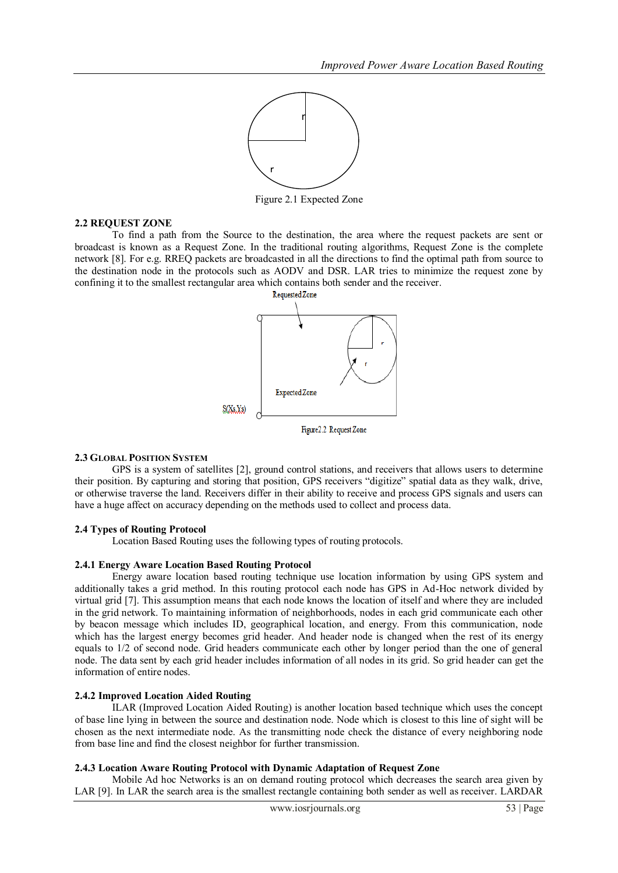

Figure 2.1 Expected Zone

## **2.2 REQUEST ZONE**

To find a path from the Source to the destination, the area where the request packets are sent or broadcast is known as a Request Zone. In the traditional routing algorithms, Request Zone is the complete network [8]. For e.g. RREQ packets are broadcasted in all the directions to find the optimal path from source to the destination node in the protocols such as AODV and DSR. LAR tries to minimize the request zone by confining it to the smallest rectangular area which contains both sender and the receiver.



#### **2.3 GLOBAL POSITION SYSTEM**

GPS is a system of satellites [2], ground control stations, and receivers that allows users to determine their position. By capturing and storing that position, GPS receivers "digitize" spatial data as they walk, drive, or otherwise traverse the land. Receivers differ in their ability to receive and process GPS signals and users can have a huge affect on accuracy depending on the methods used to collect and process data.

#### **2.4 Types of Routing Protocol**

Location Based Routing uses the following types of routing protocols.

#### **2.4.1 Energy Aware Location Based Routing Protocol**

Energy aware location based routing technique use location information by using GPS system and additionally takes a grid method. In this routing protocol each node has GPS in Ad-Hoc network divided by virtual grid [7]. This assumption means that each node knows the location of itself and where they are included in the grid network. To maintaining information of neighborhoods, nodes in each grid communicate each other by beacon message which includes ID, geographical location, and energy. From this communication, node which has the largest energy becomes grid header. And header node is changed when the rest of its energy equals to 1/2 of second node. Grid headers communicate each other by longer period than the one of general node. The data sent by each grid header includes information of all nodes in its grid. So grid header can get the information of entire nodes.

#### **2.4.2 Improved Location Aided Routing**

ILAR (Improved Location Aided Routing) is another location based technique which uses the concept of base line lying in between the source and destination node. Node which is closest to this line of sight will be chosen as the next intermediate node. As the transmitting node check the distance of every neighboring node from base line and find the closest neighbor for further transmission.

#### **2.4.3 Location Aware Routing Protocol with Dynamic Adaptation of Request Zone**

Mobile Ad hoc Networks is an on demand routing protocol which decreases the search area given by LAR [9]. In LAR the search area is the smallest rectangle containing both sender as well as receiver. LARDAR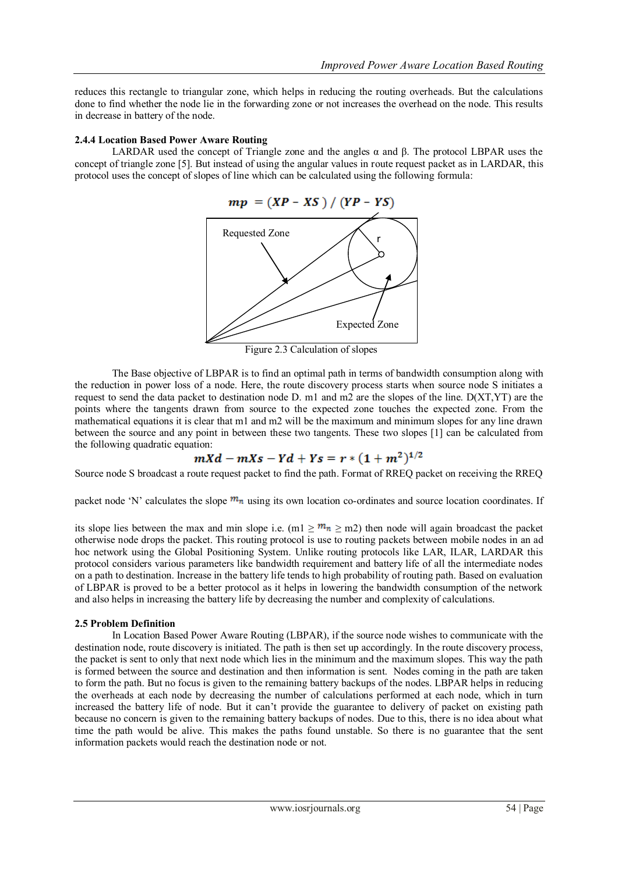reduces this rectangle to triangular zone, which helps in reducing the routing overheads. But the calculations done to find whether the node lie in the forwarding zone or not increases the overhead on the node. This results in decrease in battery of the node.

## **2.4.4 Location Based Power Aware Routing**

LARDAR used the concept of Triangle zone and the angles  $\alpha$  and  $\beta$ . The protocol LBPAR uses the concept of triangle zone [5]. But instead of using the angular values in route request packet as in LARDAR, this protocol uses the concept of slopes of line which can be calculated using the following formula:



Figure 2.3 Calculation of slopes

The Base objective of LBPAR is to find an optimal path in terms of bandwidth consumption along with the reduction in power loss of a node. Here, the route discovery process starts when source node S initiates a request to send the data packet to destination node D. m1 and m2 are the slopes of the line. D(XT,YT) are the points where the tangents drawn from source to the expected zone touches the expected zone. From the points where the tangents drawn non-source to the expected zone touches the expected zone. From the mathematical equations it is clear that m1 and m2 will be the maximum and minimum slopes for any line drawn between the source and any point in between these two tangents. These two slopes [1] can be calculated from the following quadratic equation:

$$
mXd - mXs - Yd + Ys = r * (1 + m2)1/2
$$

Source node S broadcast a route request packet to find the path. Format of RREQ packet on receiving the RREQ

packet node 'N' calculates the slope  $m_n$  using its own location co-ordinates and source location coordinates. If

its slope lies between the max and min slope i.e. (m1  $\geq m_n \geq$  m2) then node will again broadcast the packet otherwise node drops the packet. This routing protocol is use to routing packets between mobile nodes in an ad hoc network using the Global Positioning System. Unlike routing protocols like LAR, ILAR, LARDAR this protocol considers various parameters like bandwidth requirement and battery life of all the intermediate nodes on a path to destination. Increase in the battery life tends to high probability of routing path. Based on evaluation of LBPAR is proved to be a better protocol as it helps in lowering the bandwidth consumption of the network and also helps in increasing the battery life by decreasing the number and complexity of calculations.

#### **2.5 Problem Definition**

In Location Based Power Aware Routing (LBPAR), if the source node wishes to communicate with the destination node, route discovery is initiated. The path is then set up accordingly. In the route discovery process, the packet is sent to only that next node which lies in the minimum and the maximum slopes. This way the path is formed between the source and destination and then information is sent. Nodes coming in the path are taken to form the path. But no focus is given to the remaining battery backups of the nodes. LBPAR helps in reducing the overheads at each node by decreasing the number of calculations performed at each node, which in turn increased the battery life of node. But it can't provide the guarantee to delivery of packet on existing path because no concern is given to the remaining battery backups of nodes. Due to this, there is no idea about what time the path would be alive. This makes the paths found unstable. So there is no guarantee that the sent information packets would reach the destination node or not.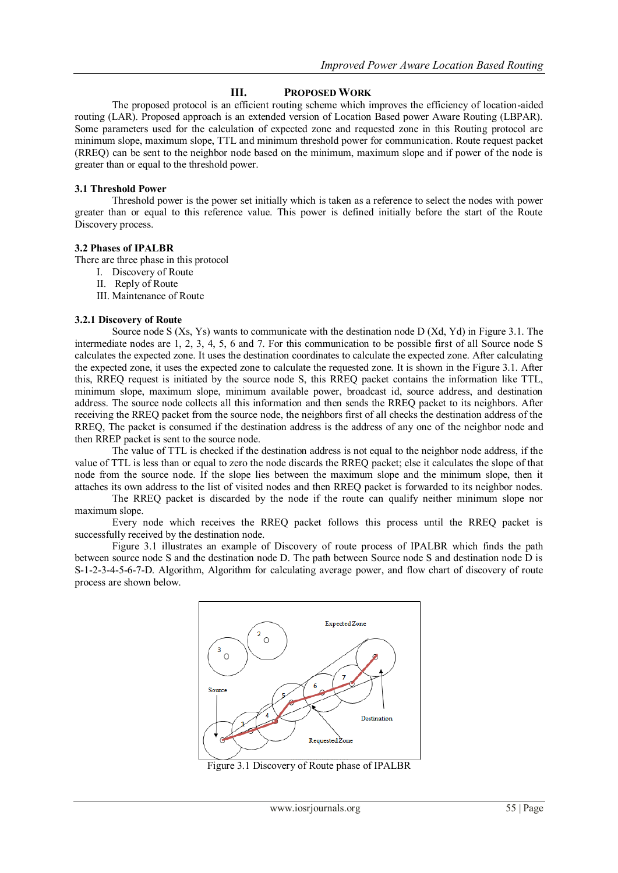# **III. PROPOSED WORK**

The proposed protocol is an efficient routing scheme which improves the efficiency of location-aided routing (LAR). Proposed approach is an extended version of Location Based power Aware Routing (LBPAR). Some parameters used for the calculation of expected zone and requested zone in this Routing protocol are minimum slope, maximum slope, TTL and minimum threshold power for communication. Route request packet (RREQ) can be sent to the neighbor node based on the minimum, maximum slope and if power of the node is greater than or equal to the threshold power.

# **3.1 Threshold Power**

Threshold power is the power set initially which is taken as a reference to select the nodes with power greater than or equal to this reference value. This power is defined initially before the start of the Route Discovery process.

## **3.2 Phases of IPALBR**

There are three phase in this protocol

- I. Discovery of Route
- II. Reply of Route
- III. Maintenance of Route

## **3.2.1 Discovery of Route**

Source node S (Xs, Ys) wants to communicate with the destination node D (Xd, Yd) in Figure 3.1. The intermediate nodes are 1, 2, 3, 4, 5, 6 and 7. For this communication to be possible first of all Source node S calculates the expected zone. It uses the destination coordinates to calculate the expected zone. After calculating the expected zone, it uses the expected zone to calculate the requested zone. It is shown in the Figure 3.1. After this, RREQ request is initiated by the source node S, this RREQ packet contains the information like TTL, minimum slope, maximum slope, minimum available power, broadcast id, source address, and destination address. The source node collects all this information and then sends the RREQ packet to its neighbors. After receiving the RREQ packet from the source node, the neighbors first of all checks the destination address of the RREQ, The packet is consumed if the destination address is the address of any one of the neighbor node and then RREP packet is sent to the source node.

The value of TTL is checked if the destination address is not equal to the neighbor node address, if the value of TTL is less than or equal to zero the node discards the RREQ packet; else it calculates the slope of that node from the source node. If the slope lies between the maximum slope and the minimum slope, then it attaches its own address to the list of visited nodes and then RREQ packet is forwarded to its neighbor nodes.

The RREQ packet is discarded by the node if the route can qualify neither minimum slope nor maximum slope.

Every node which receives the RREQ packet follows this process until the RREQ packet is successfully received by the destination node.

Figure 3.1 illustrates an example of Discovery of route process of IPALBR which finds the path between source node S and the destination node D. The path between Source node S and destination node D is S-1-2-3-4-5-6-7-D. Algorithm, Algorithm for calculating average power, and flow chart of discovery of route process are shown below.



Figure 3.1 Discovery of Route phase of IPALBR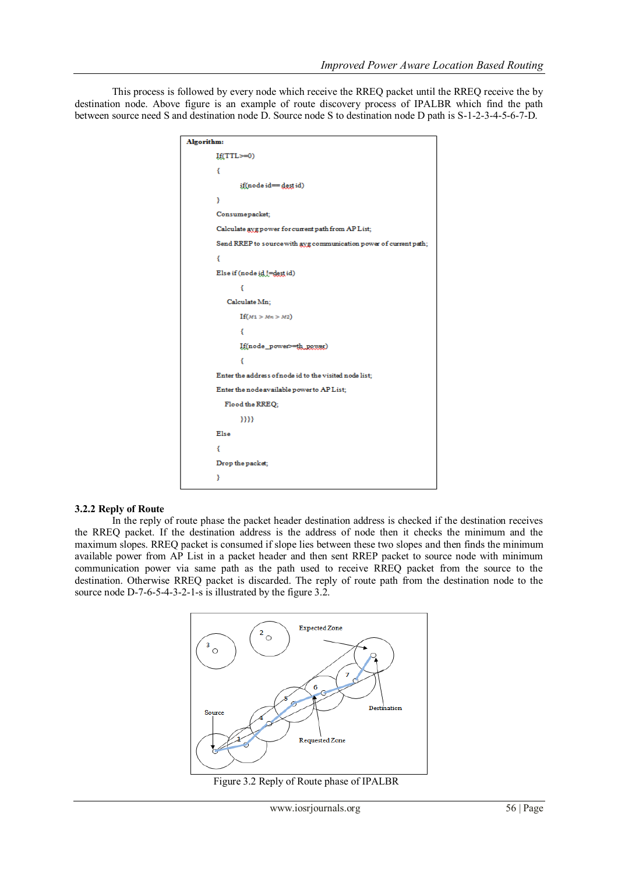This process is followed by every node which receive the RREQ packet until the RREQ receive the by destination node. Above figure is an example of route discovery process of IPALBR which find the path between source need S and destination node D. Source node S to destination node D path is S-1-2-3-4-5-6-7-D.

| Algorithm:                                                        |
|-------------------------------------------------------------------|
| $If(TTL>=0)$                                                      |
| ł                                                                 |
| if(node id=dest id)                                               |
| ł                                                                 |
| Consumepacket;                                                    |
| Calculate avgpower for current path from AP List;                 |
| Send RREP to source with avg communication power of current path; |
| €                                                                 |
| Else if (node id != dest id)                                      |
| ł                                                                 |
| Calculate Mn;                                                     |
| If(M1 > Mn > M2)                                                  |
| ſ                                                                 |
| If(node_power>=th_power)                                          |
| €                                                                 |
| Enter the address of node id to the visited node list;            |
| Enter the node available power to AP List;                        |
| Flood the RREQ;                                                   |
| 3333                                                              |
| Else                                                              |
| ſ                                                                 |
| Drop the packet;                                                  |
| ŀ                                                                 |

#### **3.2.2 Reply of Route**

In the reply of route phase the packet header destination address is checked if the destination receives the RREQ packet. If the destination address is the address of node then it checks the minimum and the maximum slopes. RREQ packet is consumed if slope lies between these two slopes and then finds the minimum available power from AP List in a packet header and then sent RREP packet to source node with minimum communication power via same path as the path used to receive RREQ packet from the source to the destination. Otherwise RREQ packet is discarded. The reply of route path from the destination node to the source node D-7-6-5-4-3-2-1-s is illustrated by the figure 3.2.



Figure 3.2 Reply of Route phase of IPALBR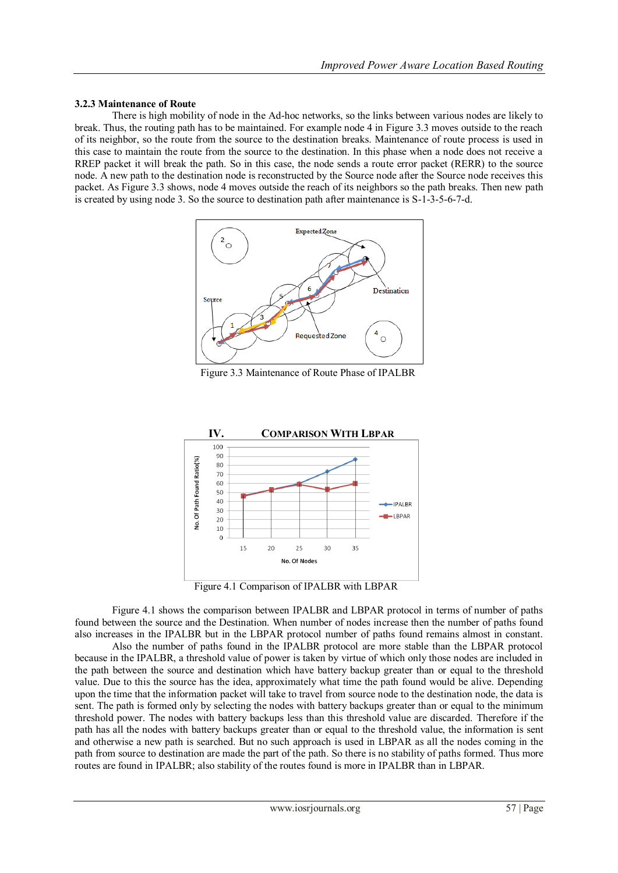## **3.2.3 Maintenance of Route**

There is high mobility of node in the Ad-hoc networks, so the links between various nodes are likely to break. Thus, the routing path has to be maintained. For example node 4 in Figure 3.3 moves outside to the reach of its neighbor, so the route from the source to the destination breaks. Maintenance of route process is used in this case to maintain the route from the source to the destination. In this phase when a node does not receive a RREP packet it will break the path. So in this case, the node sends a route error packet (RERR) to the source node. A new path to the destination node is reconstructed by the Source node after the Source node receives this packet. As Figure 3.3 shows, node 4 moves outside the reach of its neighbors so the path breaks. Then new path is created by using node 3. So the source to destination path after maintenance is S-1-3-5-6-7-d.



Figure 3.3 Maintenance of Route Phase of IPALBR



Figure 4.1 Comparison of IPALBR with LBPAR

Figure 4.1 shows the comparison between IPALBR and LBPAR protocol in terms of number of paths found between the source and the Destination. When number of nodes increase then the number of paths found also increases in the IPALBR but in the LBPAR protocol number of paths found remains almost in constant.

Also the number of paths found in the IPALBR protocol are more stable than the LBPAR protocol because in the IPALBR, a threshold value of power is taken by virtue of which only those nodes are included in the path between the source and destination which have battery backup greater than or equal to the threshold value. Due to this the source has the idea, approximately what time the path found would be alive. Depending upon the time that the information packet will take to travel from source node to the destination node, the data is sent. The path is formed only by selecting the nodes with battery backups greater than or equal to the minimum threshold power. The nodes with battery backups less than this threshold value are discarded. Therefore if the path has all the nodes with battery backups greater than or equal to the threshold value, the information is sent and otherwise a new path is searched. But no such approach is used in LBPAR as all the nodes coming in the path from source to destination are made the part of the path. So there is no stability of paths formed. Thus more routes are found in IPALBR; also stability of the routes found is more in IPALBR than in LBPAR.